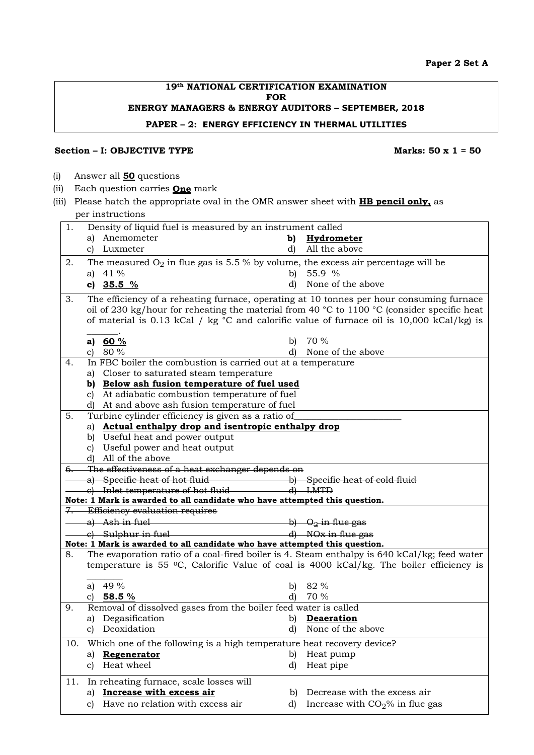#### **19th NATIONAL CERTIFICATION EXAMINATION FOR ENERGY MANAGERS & ENERGY AUDITORS – SEPTEMBER, 2018 PAPER – 2: ENERGY EFFICIENCY IN THERMAL UTILITIES**

#### **Section – I:** OBJECTIVE TYPE Marks: 50 x 1 = 50

- (i) Answer all **50** questions
- (ii) Each question carries **One** mark
- (iii) Please hatch the appropriate oval in the OMR answer sheet with **HB pencil only,** as per instructions

| 1.  | Density of liquid fuel is measured by an instrument called |                                                                                                                                                                                                                                                        |              |                                  |
|-----|------------------------------------------------------------|--------------------------------------------------------------------------------------------------------------------------------------------------------------------------------------------------------------------------------------------------------|--------------|----------------------------------|
|     |                                                            | a) Anemometer                                                                                                                                                                                                                                          |              | b) Hydrometer                    |
|     |                                                            | c) Luxmeter                                                                                                                                                                                                                                            | d)           | All the above                    |
| 2.  |                                                            | The measured $O_2$ in flue gas is 5.5 % by volume, the excess air percentage will be                                                                                                                                                                   |              |                                  |
|     |                                                            | a) $41\%$                                                                                                                                                                                                                                              | $\mathbf{b}$ | 55.9 %                           |
|     |                                                            | c) $35.5\%$                                                                                                                                                                                                                                            | d)           | None of the above                |
| 3.  |                                                            | The efficiency of a reheating furnace, operating at 10 tonnes per hour consuming furnace                                                                                                                                                               |              |                                  |
|     |                                                            | oil of 230 kg/hour for reheating the material from 40 °C to 1100 °C (consider specific heat                                                                                                                                                            |              |                                  |
|     |                                                            | of material is 0.13 kCal / kg $\degree$ C and calorific value of furnace oil is 10,000 kCal/kg) is                                                                                                                                                     |              |                                  |
|     |                                                            |                                                                                                                                                                                                                                                        |              |                                  |
|     |                                                            | a) 60 %                                                                                                                                                                                                                                                |              | b) $70\%$                        |
|     |                                                            | c) $80\%$                                                                                                                                                                                                                                              | d)           | None of the above                |
| 4.  |                                                            | In FBC boiler the combustion is carried out at a temperature                                                                                                                                                                                           |              |                                  |
|     |                                                            | a) Closer to saturated steam temperature                                                                                                                                                                                                               |              |                                  |
|     |                                                            | b) Below ash fusion temperature of fuel used                                                                                                                                                                                                           |              |                                  |
|     |                                                            | c) At adiabatic combustion temperature of fuel                                                                                                                                                                                                         |              |                                  |
|     |                                                            | d) At and above ash fusion temperature of fuel                                                                                                                                                                                                         |              |                                  |
| 5.  |                                                            | Turbine cylinder efficiency is given as a ratio of                                                                                                                                                                                                     |              |                                  |
|     |                                                            | a) Actual enthalpy drop and isentropic enthalpy drop                                                                                                                                                                                                   |              |                                  |
|     |                                                            | b) Useful heat and power output<br>c) Useful power and heat output                                                                                                                                                                                     |              |                                  |
|     |                                                            | d) All of the above                                                                                                                                                                                                                                    |              |                                  |
|     |                                                            | 6. The effectiveness of a heat exchanger depends on                                                                                                                                                                                                    |              |                                  |
|     |                                                            |                                                                                                                                                                                                                                                        |              |                                  |
|     |                                                            |                                                                                                                                                                                                                                                        |              |                                  |
|     |                                                            | Note: 1 Mark is awarded to all candidate who have attempted this question.                                                                                                                                                                             |              |                                  |
|     |                                                            | 7. Efficiency evaluation requires                                                                                                                                                                                                                      |              |                                  |
|     |                                                            | a) Ash in fuel                                                                                                                                                                                                                                         |              | b) O <sub>2</sub> in flue gas    |
|     |                                                            | $\frac{1}{2}$ Sulphur in fuel and the state of $\frac{1}{2}$ Sulphur in fuel and the state of $\frac{1}{2}$ Sulphur in fuel and the state of $\frac{1}{2}$ Sulphur in fuel and the state of $\frac{1}{2}$ Sulphur in fuel and the state of $\frac{1}{$ |              |                                  |
|     |                                                            | Note: 1 Mark is awarded to all candidate who have attempted this question.                                                                                                                                                                             |              |                                  |
| 8.  |                                                            | The evaporation ratio of a coal-fired boiler is 4. Steam enthalpy is 640 kCal/kg; feed water                                                                                                                                                           |              |                                  |
|     |                                                            | temperature is 55 °C, Calorific Value of coal is 4000 kCal/kg. The boiler efficiency is                                                                                                                                                                |              |                                  |
|     |                                                            |                                                                                                                                                                                                                                                        |              |                                  |
|     |                                                            | a) 49 %                                                                                                                                                                                                                                                |              | b) $82\%$                        |
|     |                                                            | c) 58.5 $%$                                                                                                                                                                                                                                            | d)           | 70 %                             |
| 9.  |                                                            | Removal of dissolved gases from the boiler feed water is called                                                                                                                                                                                        |              |                                  |
|     |                                                            | a) Degasification                                                                                                                                                                                                                                      | b)           | Deaeration                       |
|     | C)                                                         | Deoxidation                                                                                                                                                                                                                                            | d)           | None of the above                |
| 10. |                                                            | Which one of the following is a high temperature heat recovery device?                                                                                                                                                                                 |              |                                  |
|     | a)                                                         | Regenerator                                                                                                                                                                                                                                            | b)           | Heat pump                        |
|     | c)                                                         | Heat wheel                                                                                                                                                                                                                                             | d)           | Heat pipe                        |
|     |                                                            |                                                                                                                                                                                                                                                        |              |                                  |
| 11. |                                                            | In reheating furnace, scale losses will                                                                                                                                                                                                                |              |                                  |
|     | a)                                                         | Increase with excess air                                                                                                                                                                                                                               | b)           | Decrease with the excess air     |
|     | C)                                                         | Have no relation with excess air                                                                                                                                                                                                                       | d)           | Increase with $CO2%$ in flue gas |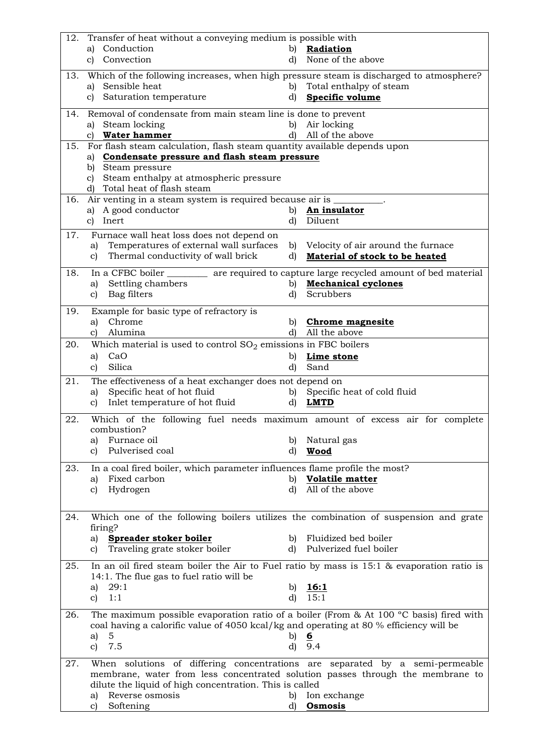| 12. | Transfer of heat without a conveying medium is possible with                                                                                                                               |              |                                               |
|-----|--------------------------------------------------------------------------------------------------------------------------------------------------------------------------------------------|--------------|-----------------------------------------------|
|     | Conduction<br>a)                                                                                                                                                                           | b)           | Radiation                                     |
|     | Convection<br>$\mathbf{c}$                                                                                                                                                                 | d)           | None of the above                             |
| 13. | Which of the following increases, when high pressure steam is discharged to atmosphere?                                                                                                    |              |                                               |
|     | Sensible heat<br>a)                                                                                                                                                                        | b)           | Total enthalpy of steam                       |
|     | c) Saturation temperature                                                                                                                                                                  | d)           | Specific volume                               |
|     |                                                                                                                                                                                            |              |                                               |
| 14. | Removal of condensate from main steam line is done to prevent                                                                                                                              |              |                                               |
|     | Steam locking<br>a)<br>c) Water hammer                                                                                                                                                     | b)<br>d)     | Air locking<br>All of the above               |
| 15. | For flash steam calculation, flash steam quantity available depends upon                                                                                                                   |              |                                               |
|     | Condensate pressure and flash steam pressure<br>a)                                                                                                                                         |              |                                               |
|     | Steam pressure<br>b)                                                                                                                                                                       |              |                                               |
|     | Steam enthalpy at atmospheric pressure<br>$\mathbf{c}$                                                                                                                                     |              |                                               |
|     | d) Total heat of flash steam                                                                                                                                                               |              |                                               |
| 16. | Air venting in a steam system is required because air is _                                                                                                                                 |              |                                               |
|     | a) A good conductor                                                                                                                                                                        | b)           | An insulator                                  |
|     | c) Inert                                                                                                                                                                                   | d)           | Diluent                                       |
| 17. | Furnace wall heat loss does not depend on                                                                                                                                                  |              |                                               |
|     | Temperatures of external wall surfaces<br>a)                                                                                                                                               |              | b) Velocity of air around the furnace         |
|     | Thermal conductivity of wall brick<br>c)                                                                                                                                                   | d)           | Material of stock to be heated                |
| 18. | In a CFBC boiler ________ are required to capture large recycled amount of bed material                                                                                                    |              |                                               |
|     | Settling chambers<br>a)                                                                                                                                                                    | b)           | <b>Mechanical cyclones</b>                    |
|     | Bag filters<br>c)                                                                                                                                                                          | d)           | Scrubbers                                     |
|     |                                                                                                                                                                                            |              |                                               |
| 19. | Example for basic type of refractory is<br>Chrome                                                                                                                                          |              |                                               |
|     | a)<br>Alumina<br>c)                                                                                                                                                                        | b)<br>d)     | <b>Chrome magnesite</b><br>All the above      |
| 20. | Which material is used to control $SO_2$ emissions in FBC boilers                                                                                                                          |              |                                               |
|     | CaO<br>a)                                                                                                                                                                                  | b)           | Lime stone                                    |
|     | Silica<br>c)                                                                                                                                                                               | d)           | Sand                                          |
|     |                                                                                                                                                                                            |              |                                               |
| 21. | The effectiveness of a heat exchanger does not depend on<br>Specific heat of hot fluid                                                                                                     |              |                                               |
|     | a)<br>Inlet temperature of hot fluid<br>$\mathbf{c}$                                                                                                                                       | d)           | b) Specific heat of cold fluid<br><b>LMTD</b> |
|     |                                                                                                                                                                                            |              |                                               |
| 22. | Which of the following fuel needs maximum amount of excess air for complete                                                                                                                |              |                                               |
|     | combustion?                                                                                                                                                                                |              |                                               |
|     | Furnace oil<br>a)<br>Pulverised coal                                                                                                                                                       |              | b) Natural gas                                |
|     | c)                                                                                                                                                                                         | d)           | Wood                                          |
| 23. | In a coal fired boiler, which parameter influences flame profile the most?                                                                                                                 |              |                                               |
|     | Fixed carbon<br>a)                                                                                                                                                                         | b)           | <b>Volatile matter</b>                        |
|     | Hydrogen<br>c)                                                                                                                                                                             | d)           | All of the above                              |
|     |                                                                                                                                                                                            |              |                                               |
| 24. | Which one of the following boilers utilizes the combination of suspension and grate                                                                                                        |              |                                               |
|     | firing?                                                                                                                                                                                    |              |                                               |
|     | Spreader stoker boiler<br>a)                                                                                                                                                               | b)           | Fluidized bed boiler                          |
|     | Traveling grate stoker boiler<br>c)                                                                                                                                                        | $\mathbf{d}$ | Pulverized fuel boiler                        |
| 25. | In an oil fired steam boiler the Air to Fuel ratio by mass is $15:1$ & evaporation ratio is                                                                                                |              |                                               |
|     | 14:1. The flue gas to fuel ratio will be                                                                                                                                                   |              |                                               |
|     | 29:1<br>a)                                                                                                                                                                                 | b)           | 16:1                                          |
|     | 1:1<br>c)                                                                                                                                                                                  | d)           | 15:1                                          |
|     |                                                                                                                                                                                            |              |                                               |
| 26. | The maximum possible evaporation ratio of a boiler (From & At 100 $^{\circ}$ C basis) fired with<br>coal having a calorific value of 4050 kcal/kg and operating at 80 % efficiency will be |              |                                               |
|     | 5<br>a)                                                                                                                                                                                    | b)           | $6\overline{6}$                               |
|     | 7.5<br>$\mathbf{c}$                                                                                                                                                                        | d)           | 9.4                                           |
|     |                                                                                                                                                                                            |              |                                               |
| 27. | When solutions of differing concentrations are separated by a semi-permeable                                                                                                               |              |                                               |
|     | membrane, water from less concentrated solution passes through the membrane to                                                                                                             |              |                                               |
|     | dilute the liquid of high concentration. This is called                                                                                                                                    |              |                                               |
|     | Reverse osmosis<br>a)                                                                                                                                                                      | b)           | Ion exchange                                  |
|     | Softening<br>c)                                                                                                                                                                            | d)           | Osmosis                                       |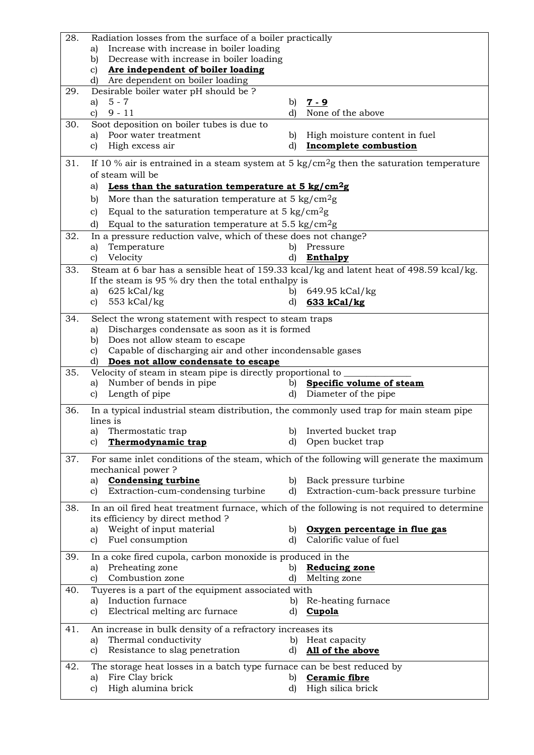| 28. | Radiation losses from the surface of a boiler practically                                                |              |                                      |
|-----|----------------------------------------------------------------------------------------------------------|--------------|--------------------------------------|
|     | Increase with increase in boiler loading<br>a)                                                           |              |                                      |
|     | Decrease with increase in boiler loading<br>b)                                                           |              |                                      |
|     | Are independent of boiler loading<br>C)<br>Are dependent on boiler loading<br>d)                         |              |                                      |
| 29. | Desirable boiler water pH should be?                                                                     |              |                                      |
|     | $5 - 7$<br>a)                                                                                            | b)           | $7 - 9$                              |
|     | $9 - 11$<br>c)                                                                                           | d)           | None of the above                    |
| 30. | Soot deposition on boiler tubes is due to                                                                |              |                                      |
|     | Poor water treatment<br>a)                                                                               | $\mathbf{b}$ | High moisture content in fuel        |
|     | High excess air<br>c)                                                                                    | d)           | <b>Incomplete combustion</b>         |
| 31. | If 10 % air is entrained in a steam system at 5 $\text{kg/cm}^2\text{g}$ then the saturation temperature |              |                                      |
|     | of steam will be                                                                                         |              |                                      |
|     | Less than the saturation temperature at $5 \text{ kg/cm}^2$ g<br>a)                                      |              |                                      |
|     | More than the saturation temperature at $5 \text{ kg/cm}^2$ g<br>b)                                      |              |                                      |
|     | Equal to the saturation temperature at $5 \text{ kg/cm}^2$ g<br>c)                                       |              |                                      |
|     | Equal to the saturation temperature at $5.5 \text{ kg/cm}^2\text{g}$<br>d)                               |              |                                      |
| 32. | In a pressure reduction valve, which of these does not change?                                           |              |                                      |
|     | Temperature<br>a)                                                                                        |              | b) Pressure                          |
|     | Velocity<br>c)                                                                                           | d)           | <b>Enthalpy</b>                      |
| 33. | Steam at 6 bar has a sensible heat of 159.33 kcal/kg and latent heat of 498.59 kcal/kg.                  |              |                                      |
|     | If the steam is 95 $\%$ dry then the total enthalpy is                                                   |              |                                      |
|     | $625 \text{ kCal/kg}$<br>a)                                                                              | b)           | 649.95 kCal/kg                       |
|     | 553 $kCal/kg$<br>c)                                                                                      | d)           | 633 kCal/kg                          |
| 34. | Select the wrong statement with respect to steam traps                                                   |              |                                      |
|     | Discharges condensate as soon as it is formed<br>a)                                                      |              |                                      |
|     | Does not allow steam to escape<br>b)                                                                     |              |                                      |
|     | Capable of discharging air and other incondensable gases<br>c)                                           |              |                                      |
|     | Does not allow condensate to escape<br>d)                                                                |              |                                      |
|     |                                                                                                          |              |                                      |
| 35. | Velocity of steam in steam pipe is directly proportional to                                              |              |                                      |
|     | Number of bends in pipe<br>a)                                                                            | b)           | Specific volume of steam             |
|     | Length of pipe<br>C)                                                                                     | d)           | Diameter of the pipe                 |
| 36. | In a typical industrial steam distribution, the commonly used trap for main steam pipe                   |              |                                      |
|     | lines is                                                                                                 |              |                                      |
|     | Thermostatic trap<br>a)                                                                                  | b)           | Inverted bucket trap                 |
|     | Thermodynamic trap<br>c)                                                                                 | d)           | Open bucket trap                     |
| 37. | For same inlet conditions of the steam, which of the following will generate the maximum                 |              |                                      |
|     | mechanical power?                                                                                        |              |                                      |
|     | <b>Condensing turbine</b><br>a)                                                                          | b)           | Back pressure turbine                |
|     | Extraction-cum-condensing turbine<br>C)                                                                  | d)           | Extraction-cum-back pressure turbine |
| 38. | In an oil fired heat treatment furnace, which of the following is not required to determine              |              |                                      |
|     | its efficiency by direct method ?                                                                        |              |                                      |
|     | Weight of input material<br>a)                                                                           | b)           | Oxygen percentage in flue gas        |
|     | Fuel consumption<br>c)                                                                                   | d)           | Calorific value of fuel              |
| 39. | In a coke fired cupola, carbon monoxide is produced in the                                               |              |                                      |
|     | Preheating zone<br>a)                                                                                    | b)           | <b>Reducing zone</b>                 |
|     | Combustion zone<br>c)                                                                                    | d)           | Melting zone                         |
| 40. | Tuyeres is a part of the equipment associated with                                                       |              |                                      |
|     | Induction furnace<br>a)                                                                                  | b)           | Re-heating furnace                   |
|     | Electrical melting arc furnace<br>C)                                                                     | d)           | Cupola                               |
| 41. | An increase in bulk density of a refractory increases its                                                |              |                                      |
|     | Thermal conductivity<br>a)                                                                               | b)           | Heat capacity                        |
|     | Resistance to slag penetration<br>c)                                                                     | d)           | All of the above                     |
| 42. | The storage heat losses in a batch type furnace can be best reduced by                                   |              |                                      |
|     | Fire Clay brick<br>a)<br>High alumina brick                                                              | b)           | Ceramic fibre<br>High silica brick   |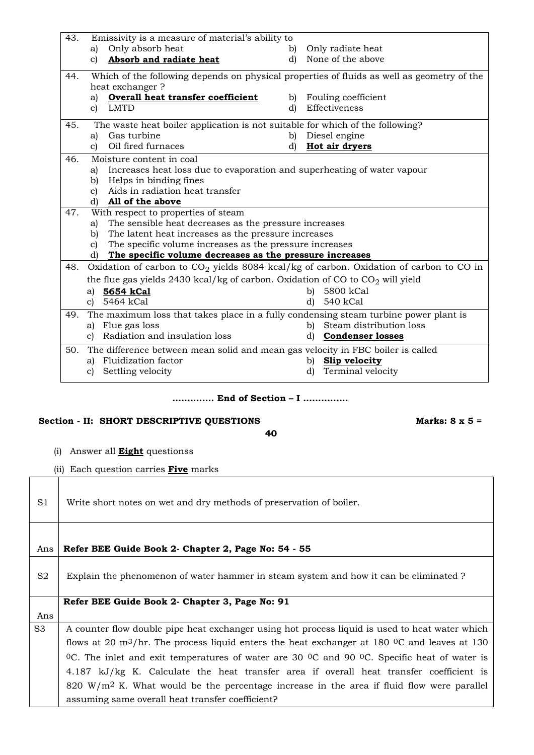| 43. |              | Emissivity is a measure of material's ability to                                     |    |                                                                                            |
|-----|--------------|--------------------------------------------------------------------------------------|----|--------------------------------------------------------------------------------------------|
|     | a)           | Only absorb heat                                                                     | b) | Only radiate heat                                                                          |
|     | $\mathbf{c}$ | Absorb and radiate heat                                                              | d) | None of the above                                                                          |
| 44. |              |                                                                                      |    | Which of the following depends on physical properties of fluids as well as geometry of the |
|     |              | heat exchanger?                                                                      |    |                                                                                            |
|     | a)           | Overall heat transfer coefficient                                                    |    | b) Fouling coefficient                                                                     |
|     | $\mathbf{c}$ | <b>LMTD</b>                                                                          | d) | Effectiveness                                                                              |
| 45. |              | The waste heat boiler application is not suitable for which of the following?        |    |                                                                                            |
|     | a)           | Gas turbine                                                                          | b) | Diesel engine                                                                              |
|     | c)           | Oil fired furnaces                                                                   | d) | Hot air dryers                                                                             |
| 46. |              | Moisture content in coal                                                             |    |                                                                                            |
|     | a)           | Increases heat loss due to evaporation and superheating of water vapour              |    |                                                                                            |
|     |              | b) Helps in binding fines                                                            |    |                                                                                            |
|     |              | c) Aids in radiation heat transfer                                                   |    |                                                                                            |
|     | d)           | All of the above                                                                     |    |                                                                                            |
| 47. |              | With respect to properties of steam                                                  |    |                                                                                            |
|     | a)           | The sensible heat decreases as the pressure increases                                |    |                                                                                            |
|     | b)           | The latent heat increases as the pressure increases                                  |    |                                                                                            |
|     | $\mathbf{c}$ | The specific volume increases as the pressure increases                              |    |                                                                                            |
|     |              | d) The specific volume decreases as the pressure increases                           |    |                                                                                            |
| 48. |              |                                                                                      |    | Oxidation of carbon to $CO2$ yields 8084 kcal/kg of carbon. Oxidation of carbon to CO in   |
|     |              | the flue gas yields 2430 kcal/kg of carbon. Oxidation of CO to $CO_2$ will yield     |    |                                                                                            |
|     |              | a) 5654 kCal                                                                         |    | b) 5800 kCal                                                                               |
|     |              | c) 5464 kCal                                                                         |    | 540 kCal<br>d)                                                                             |
| 49. |              | The maximum loss that takes place in a fully condensing steam turbine power plant is |    |                                                                                            |
|     |              | a) Flue gas loss                                                                     |    | Steam distribution loss<br>b)                                                              |
|     |              | c) Radiation and insulation loss                                                     |    | d) Condenser losses                                                                        |
| 50. |              | The difference between mean solid and mean gas velocity in FBC boiler is called      |    |                                                                                            |
|     | a)           | Fluidization factor                                                                  |    | b) Slip velocity                                                                           |
|     | C)           | Settling velocity                                                                    |    | Terminal velocity<br>d)                                                                    |
|     |              |                                                                                      |    |                                                                                            |

### **…….……. End of Section – I ………..….**

# Section - II: SHORT DESCRIPTIVE QUESTIONS Marks: 8 x 5 =

**40**

(i) Answer all **Eight** questionss

 $\mathsf{I}$ 

(ii) Each question carries **Five** marks

| S <sub>1</sub> | Write short notes on wet and dry methods of preservation of boiler.                                                             |
|----------------|---------------------------------------------------------------------------------------------------------------------------------|
| Ans            | Refer BEE Guide Book 2- Chapter 2, Page No: 54 - 55                                                                             |
|                |                                                                                                                                 |
| S2             | Explain the phenomenon of water hammer in steam system and how it can be eliminated?                                            |
|                | Refer BEE Guide Book 2- Chapter 3, Page No: 91                                                                                  |
| Ans            |                                                                                                                                 |
| S <sub>3</sub> | A counter flow double pipe heat exchanger using hot process liquid is used to heat water which                                  |
|                | flows at 20 m <sup>3</sup> /hr. The process liquid enters the heat exchanger at 180 <sup>o</sup> C and leaves at 130            |
|                | <sup>0</sup> C. The inlet and exit temperatures of water are 30 <sup>o</sup> C and 90 <sup>o</sup> C. Specific heat of water is |
|                | 4.187 kJ/kg K. Calculate the heat transfer area if overall heat transfer coefficient is                                         |
|                | 820 W/m <sup>2</sup> K. What would be the percentage increase in the area if fluid flow were parallel                           |
|                | assuming same overall heat transfer coefficient?                                                                                |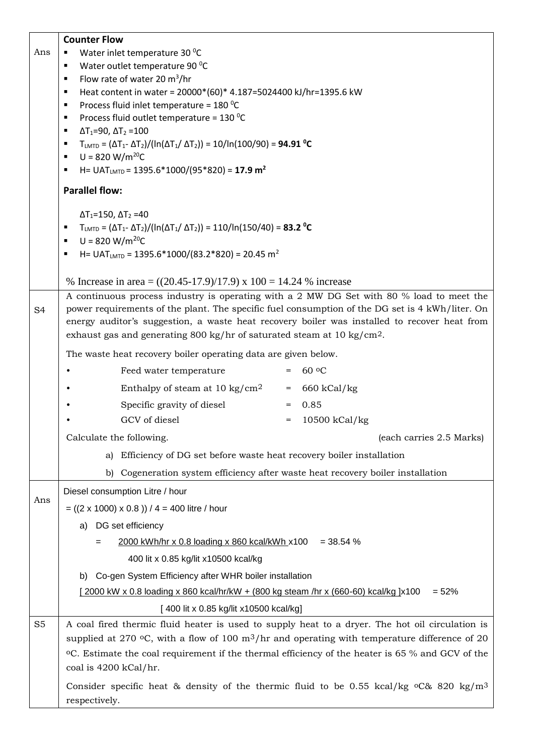|                | <b>Counter Flow</b>                                                                                                                                     |  |  |  |  |  |
|----------------|---------------------------------------------------------------------------------------------------------------------------------------------------------|--|--|--|--|--|
| Ans            | Water inlet temperature 30 °C                                                                                                                           |  |  |  |  |  |
|                | Water outlet temperature 90 °C<br>٠                                                                                                                     |  |  |  |  |  |
|                | Flow rate of water 20 $m^3/hr$<br>$\blacksquare$                                                                                                        |  |  |  |  |  |
|                | Heat content in water = 20000*(60)* 4.187=5024400 kJ/hr=1395.6 kW<br>٠                                                                                  |  |  |  |  |  |
|                | Process fluid inlet temperature = 180 °C<br>٠                                                                                                           |  |  |  |  |  |
|                | Process fluid outlet temperature = $130\,^0C$<br>٠                                                                                                      |  |  |  |  |  |
|                | $\Delta T_1 = 90$ , $\Delta T_2 = 100$<br>٠                                                                                                             |  |  |  |  |  |
|                | $T_{\text{LMTD}} = (\Delta T_{1} - \Delta T_{2})/(\ln(\Delta T_{1}/ \Delta T_{2})) = 10/ln(100/90) = 94.91 \text{ °C}$<br>٠<br>$U = 820 W/m^{20}C$<br>٠ |  |  |  |  |  |
|                | H= UAT <sub>LMTD</sub> = 1395.6*1000/(95*820) = 17.9 m <sup>2</sup><br>٠                                                                                |  |  |  |  |  |
|                | <b>Parallel flow:</b>                                                                                                                                   |  |  |  |  |  |
|                | $\Delta$ T <sub>1</sub> =150, $\Delta$ T <sub>2</sub> =40                                                                                               |  |  |  |  |  |
|                | $T_{\text{LMTD}} = (\Delta T_{1} - \Delta T_{2}) / (\ln(\Delta T_{1}/ \Delta T_{2})) = 110 / \ln(150/40) = 83.2 °C$<br>п                                |  |  |  |  |  |
|                | $U = 820 W/m^{20}C$<br>٠                                                                                                                                |  |  |  |  |  |
|                | H= UAT <sub>LMTD</sub> = 1395.6*1000/(83.2*820) = 20.45 m <sup>2</sup>                                                                                  |  |  |  |  |  |
|                | % Increase in area = $((20.45-17.9)/17.9)$ x $100 = 14.24$ % increase                                                                                   |  |  |  |  |  |
|                | A continuous process industry is operating with a 2 MW DG Set with 80 % load to meet the                                                                |  |  |  |  |  |
| S <sub>4</sub> | power requirements of the plant. The specific fuel consumption of the DG set is 4 kWh/liter. On                                                         |  |  |  |  |  |
|                | energy auditor's suggestion, a waste heat recovery boiler was installed to recover heat from                                                            |  |  |  |  |  |
|                | exhaust gas and generating 800 kg/hr of saturated steam at 10 kg/cm <sup>2</sup> .                                                                      |  |  |  |  |  |
|                | The waste heat recovery boiler operating data are given below.                                                                                          |  |  |  |  |  |
|                | 60 °C<br>Feed water temperature                                                                                                                         |  |  |  |  |  |
|                | Enthalpy of steam at $10 \text{ kg/cm}^2$<br>$= 660 \text{ kCal/kg}$                                                                                    |  |  |  |  |  |
|                | Specific gravity of diesel<br>0.85<br>$=$                                                                                                               |  |  |  |  |  |
|                | GCV of diesel<br>10500 kCal/kg<br>$=$                                                                                                                   |  |  |  |  |  |
|                | Calculate the following.<br>(each carries 2.5 Marks)                                                                                                    |  |  |  |  |  |
|                | Efficiency of DG set before waste heat recovery boiler installation<br>a)                                                                               |  |  |  |  |  |
|                | Cogeneration system efficiency after waste heat recovery boiler installation<br>b)                                                                      |  |  |  |  |  |
|                | Diesel consumption Litre / hour                                                                                                                         |  |  |  |  |  |
| Ans            | $= ((2 \times 1000) \times 0.8)) / 4 = 400$ litre / hour                                                                                                |  |  |  |  |  |
|                | DG set efficiency<br>a)                                                                                                                                 |  |  |  |  |  |
|                | 2000 kWh/hr x 0.8 loading x 860 kcal/kWh x100<br>$=$ 38.54 %<br>=                                                                                       |  |  |  |  |  |
|                | 400 lit x 0.85 kg/lit x10500 kcal/kg                                                                                                                    |  |  |  |  |  |
|                | Co-gen System Efficiency after WHR boiler installation<br>b)                                                                                            |  |  |  |  |  |
|                | [2000 kW x 0.8 loading x 860 kcal/hr/kW + (800 kg steam /hr x (660-60) kcal/kg ]x100<br>$= 52%$                                                         |  |  |  |  |  |
|                | [400 lit x 0.85 kg/lit x 10500 kcal/kg]                                                                                                                 |  |  |  |  |  |
| S <sub>5</sub> | A coal fired thermic fluid heater is used to supply heat to a dryer. The hot oil circulation is                                                         |  |  |  |  |  |
|                | supplied at 270 °C, with a flow of 100 $m^3/hr$ and operating with temperature difference of 20                                                         |  |  |  |  |  |
|                | °C. Estimate the coal requirement if the thermal efficiency of the heater is 65 % and GCV of the                                                        |  |  |  |  |  |
|                | coal is 4200 kCal/hr.                                                                                                                                   |  |  |  |  |  |
|                | Consider specific heat & density of the thermic fluid to be 0.55 kcal/kg $\rm{0.820 \, kg/m^3}$                                                         |  |  |  |  |  |
|                | respectively.                                                                                                                                           |  |  |  |  |  |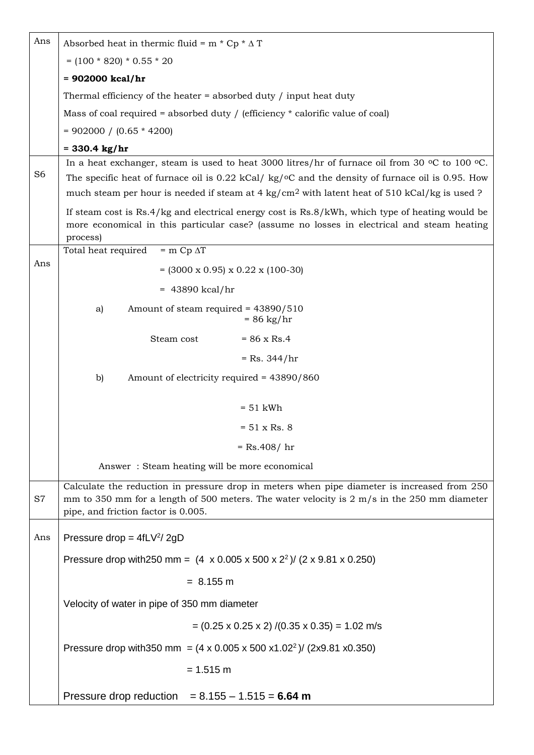| Ans            | Absorbed heat in thermic fluid = $m * Cp * \Delta T$                                                                                                                                                                              |  |  |
|----------------|-----------------------------------------------------------------------------------------------------------------------------------------------------------------------------------------------------------------------------------|--|--|
|                | $= (100 * 820) * 0.55 * 20$                                                                                                                                                                                                       |  |  |
|                | $= 902000$ kcal/hr                                                                                                                                                                                                                |  |  |
|                | Thermal efficiency of the heater $=$ absorbed duty / input heat duty                                                                                                                                                              |  |  |
|                | Mass of coal required = absorbed duty / (efficiency $*$ calorific value of coal)                                                                                                                                                  |  |  |
|                | $= 902000 / (0.65 * 4200)$                                                                                                                                                                                                        |  |  |
|                | $= 330.4 \text{ kg/hr}$                                                                                                                                                                                                           |  |  |
|                | In a heat exchanger, steam is used to heat 3000 litres/hr of furnace oil from 30 $\degree$ C to 100 $\degree$ C.                                                                                                                  |  |  |
| S <sub>6</sub> | The specific heat of furnace oil is $0.22$ kCal/kg/ $\degree$ C and the density of furnace oil is 0.95. How<br>much steam per hour is needed if steam at 4 kg/cm <sup>2</sup> with latent heat of 510 kCal/kg is used ?           |  |  |
|                | If steam cost is $Rs.4/kg$ and electrical energy cost is $Rs.8/kWh$ , which type of heating would be                                                                                                                              |  |  |
|                | more economical in this particular case? (assume no losses in electrical and steam heating<br>process)                                                                                                                            |  |  |
|                | $=$ m Cp $\Delta T$<br>Total heat required                                                                                                                                                                                        |  |  |
| Ans            | $= (3000 \times 0.95) \times 0.22 \times (100-30)$                                                                                                                                                                                |  |  |
|                | $= 43890$ kcal/hr                                                                                                                                                                                                                 |  |  |
|                | Amount of steam required = 43890/510<br>a)<br>$= 86 \text{ kg/hr}$                                                                                                                                                                |  |  |
|                | Steam cost<br>$= 86 \times$ Rs.4                                                                                                                                                                                                  |  |  |
|                | $=$ Rs. 344/hr                                                                                                                                                                                                                    |  |  |
|                | b)<br>Amount of electricity required = 43890/860                                                                                                                                                                                  |  |  |
|                |                                                                                                                                                                                                                                   |  |  |
|                | $= 51$ kWh                                                                                                                                                                                                                        |  |  |
|                | $= 51 \times Rs. 8$                                                                                                                                                                                                               |  |  |
|                | $=$ Rs.408/hr                                                                                                                                                                                                                     |  |  |
|                | Answer: Steam heating will be more economical                                                                                                                                                                                     |  |  |
| S7             | Calculate the reduction in pressure drop in meters when pipe diameter is increased from 250<br>mm to 350 mm for a length of 500 meters. The water velocity is 2 m/s in the 250 mm diameter<br>pipe, and friction factor is 0.005. |  |  |
| Ans            | Pressure drop = $4fLV^2/2gD$                                                                                                                                                                                                      |  |  |
|                | Pressure drop with 250 mm = $(4 \times 0.005 \times 500 \times 2^2)$ (2 x 9.81 x 0.250)                                                                                                                                           |  |  |
|                | $= 8.155 \text{ m}$                                                                                                                                                                                                               |  |  |
|                | Velocity of water in pipe of 350 mm diameter                                                                                                                                                                                      |  |  |
|                | $= (0.25 \times 0.25 \times 2) / (0.35 \times 0.35) = 1.02$ m/s                                                                                                                                                                   |  |  |
|                | Pressure drop with 350 mm = $(4 \times 0.005 \times 500 \times 1.02^2)$ (2x9.81 x0.350)                                                                                                                                           |  |  |
|                | $= 1.515$ m                                                                                                                                                                                                                       |  |  |
|                | Pressure drop reduction = $8.155 - 1.515 = 6.64$ m                                                                                                                                                                                |  |  |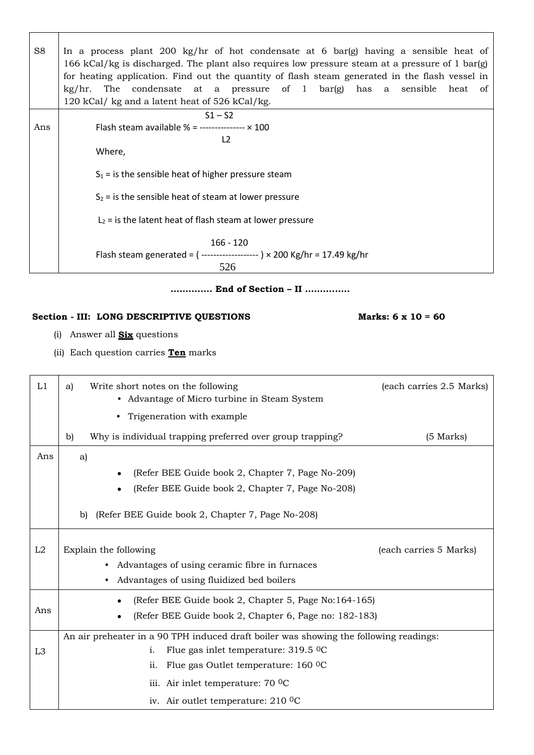| S <sub>8</sub> | In a process plant 200 kg/hr of hot condensate at 6 bar(g) having a sensible heat of<br>166 kCal/kg is discharged. The plant also requires low pressure steam at a pressure of 1 bar(g)<br>for heating application. Find out the quantity of flash steam generated in the flash vessel in<br>$\frac{kg}{hr}$ . The condensate at a pressure of 1 bar(g) has a sensible<br>heat of<br>120 kCal/ kg and a latent heat of 526 kCal/kg. |
|----------------|-------------------------------------------------------------------------------------------------------------------------------------------------------------------------------------------------------------------------------------------------------------------------------------------------------------------------------------------------------------------------------------------------------------------------------------|
| Ans            | $S1 - S2$<br>Flash steam available % = --------------- $\times$ 100<br>L <sub>2</sub><br>Where,<br>$S_1$ = is the sensible heat of higher pressure steam<br>$S_2$ = is the sensible heat of steam at lower pressure<br>$L_2$ = is the latent heat of flash steam at lower pressure<br>$166 - 120$<br>Flash steam generated = $($ -------------------- $) \times 200$ Kg/hr = 17.49 kg/hr<br>526                                     |

**…….……. End of Section – II ………..….**

# Section - **III:** LONG DESCRIPTIVE QUESTIONS Marks: 6 x 10 = 60

(i) Answer all **Six** questions

(ii) Each question carries **Ten** marks

| L1             | Write short notes on the following<br>(each carries 2.5 Marks)<br>a)<br>• Advantage of Micro turbine in Steam System |  |  |
|----------------|----------------------------------------------------------------------------------------------------------------------|--|--|
|                | Trigeneration with example<br>٠                                                                                      |  |  |
|                | Why is individual trapping preferred over group trapping?<br>$(5$ Marks)<br>b)                                       |  |  |
| Ans            | a)                                                                                                                   |  |  |
|                | (Refer BEE Guide book 2, Chapter 7, Page No-209)<br>$\bullet$                                                        |  |  |
|                | (Refer BEE Guide book 2, Chapter 7, Page No-208)<br>$\bullet$                                                        |  |  |
|                | (Refer BEE Guide book 2, Chapter 7, Page No-208)<br>b)                                                               |  |  |
| L2             | Explain the following<br>(each carries 5 Marks)                                                                      |  |  |
|                | Advantages of using ceramic fibre in furnaces<br>$\bullet$                                                           |  |  |
|                | Advantages of using fluidized bed boilers<br>$\bullet$                                                               |  |  |
|                | (Refer BEE Guide book 2, Chapter 5, Page No:164-165)<br>$\bullet$                                                    |  |  |
| Ans            | (Refer BEE Guide book 2, Chapter 6, Page no: 182-183)                                                                |  |  |
|                | An air preheater in a 90 TPH induced draft boiler was showing the following readings:                                |  |  |
| L <sub>3</sub> | Flue gas inlet temperature: $319.5 \degree$ C<br>i.                                                                  |  |  |
|                | Flue gas Outlet temperature: 160 ºC<br>ii.                                                                           |  |  |
|                | iii. Air inlet temperature: 70 °C                                                                                    |  |  |
|                | iv. Air outlet temperature: $210\degree$ C                                                                           |  |  |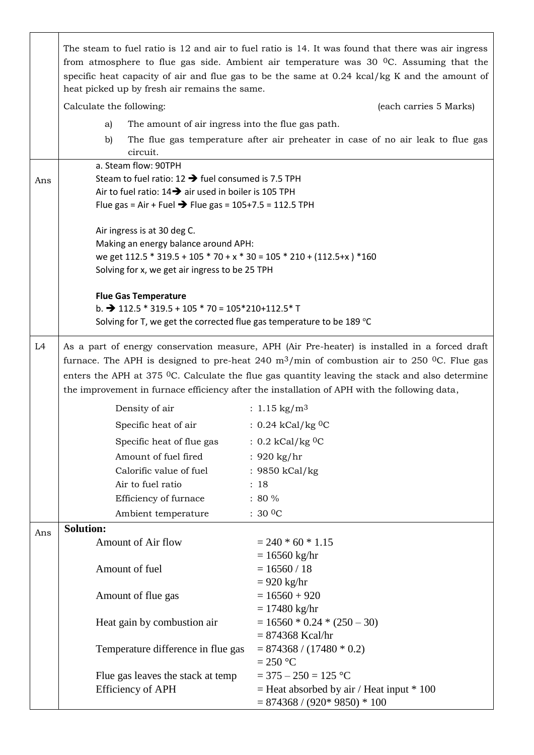|                | The steam to fuel ratio is 12 and air to fuel ratio is 14. It was found that there was air ingress<br>from atmosphere to flue gas side. Ambient air temperature was $30\degree$ OC. Assuming that the<br>specific heat capacity of air and flue gas to be the same at 0.24 kcal/kg K and the amount of<br>heat picked up by fresh air remains the same.                                                                             |                                                                                 |  |  |
|----------------|-------------------------------------------------------------------------------------------------------------------------------------------------------------------------------------------------------------------------------------------------------------------------------------------------------------------------------------------------------------------------------------------------------------------------------------|---------------------------------------------------------------------------------|--|--|
|                | Calculate the following:                                                                                                                                                                                                                                                                                                                                                                                                            | (each carries 5 Marks)                                                          |  |  |
|                | The amount of air ingress into the flue gas path.<br>a)                                                                                                                                                                                                                                                                                                                                                                             |                                                                                 |  |  |
|                | b)                                                                                                                                                                                                                                                                                                                                                                                                                                  | The flue gas temperature after air preheater in case of no air leak to flue gas |  |  |
|                | circuit.                                                                                                                                                                                                                                                                                                                                                                                                                            |                                                                                 |  |  |
|                | a. Steam flow: 90TPH                                                                                                                                                                                                                                                                                                                                                                                                                |                                                                                 |  |  |
| Ans            | Steam to fuel ratio: $12 \rightarrow$ fuel consumed is 7.5 TPH                                                                                                                                                                                                                                                                                                                                                                      |                                                                                 |  |  |
|                | Air to fuel ratio: $14 \rightarrow$ air used in boiler is 105 TPH                                                                                                                                                                                                                                                                                                                                                                   |                                                                                 |  |  |
|                | Flue gas = Air + Fuel → Flue gas = $105+7.5 = 112.5$ TPH                                                                                                                                                                                                                                                                                                                                                                            |                                                                                 |  |  |
|                | Air ingress is at 30 deg C.                                                                                                                                                                                                                                                                                                                                                                                                         |                                                                                 |  |  |
|                | Making an energy balance around APH:                                                                                                                                                                                                                                                                                                                                                                                                |                                                                                 |  |  |
|                | we get 112.5 * 319.5 + 105 * 70 + x * 30 = 105 * 210 + (112.5+x) * 160                                                                                                                                                                                                                                                                                                                                                              |                                                                                 |  |  |
|                | Solving for x, we get air ingress to be 25 TPH                                                                                                                                                                                                                                                                                                                                                                                      |                                                                                 |  |  |
|                | <b>Flue Gas Temperature</b>                                                                                                                                                                                                                                                                                                                                                                                                         |                                                                                 |  |  |
|                | b. $\rightarrow$ 112.5 $*$ 319.5 + 105 $*$ 70 = 105 $*$ 210+112.5 $*$ T                                                                                                                                                                                                                                                                                                                                                             |                                                                                 |  |  |
|                | Solving for T, we get the corrected flue gas temperature to be 189 °C                                                                                                                                                                                                                                                                                                                                                               |                                                                                 |  |  |
| L <sub>4</sub> | As a part of energy conservation measure, APH (Air Pre-heater) is installed in a forced draft<br>furnace. The APH is designed to pre-heat 240 $\text{m}^3/\text{min}$ of combustion air to 250 <sup>o</sup> C. Flue gas<br>enters the APH at 375 $^{\circ}$ C. Calculate the flue gas quantity leaving the stack and also determine<br>the improvement in furnace efficiency after the installation of APH with the following data, |                                                                                 |  |  |
|                | Density of air                                                                                                                                                                                                                                                                                                                                                                                                                      | : $1.15 \text{ kg/m}^3$                                                         |  |  |
|                | Specific heat of air                                                                                                                                                                                                                                                                                                                                                                                                                | : $0.24$ kCal/kg <sup>0</sup> C                                                 |  |  |
|                | Specific heat of flue gas                                                                                                                                                                                                                                                                                                                                                                                                           | $: 0.2$ kCal/kg <sup>0</sup> C                                                  |  |  |
|                | Amount of fuel fired                                                                                                                                                                                                                                                                                                                                                                                                                | : $920 \text{ kg/hr}$                                                           |  |  |
|                | Calorific value of fuel                                                                                                                                                                                                                                                                                                                                                                                                             | : 9850 kCal/kg                                                                  |  |  |
|                | Air to fuel ratio                                                                                                                                                                                                                                                                                                                                                                                                                   | : 18                                                                            |  |  |
|                | Efficiency of furnace                                                                                                                                                                                                                                                                                                                                                                                                               | $: 80 \%$                                                                       |  |  |
|                | Ambient temperature                                                                                                                                                                                                                                                                                                                                                                                                                 | $:30\,0$ C                                                                      |  |  |
| Ans            | <b>Solution:</b>                                                                                                                                                                                                                                                                                                                                                                                                                    |                                                                                 |  |  |
|                | Amount of Air flow                                                                                                                                                                                                                                                                                                                                                                                                                  | $= 240 * 60 * 1.15$                                                             |  |  |
|                |                                                                                                                                                                                                                                                                                                                                                                                                                                     | $= 16560$ kg/hr                                                                 |  |  |
|                | Amount of fuel                                                                                                                                                                                                                                                                                                                                                                                                                      | $= 16560 / 18$                                                                  |  |  |
|                |                                                                                                                                                                                                                                                                                                                                                                                                                                     | $= 920$ kg/hr                                                                   |  |  |
|                | Amount of flue gas                                                                                                                                                                                                                                                                                                                                                                                                                  | $= 16560 + 920$                                                                 |  |  |
|                | Heat gain by combustion air                                                                                                                                                                                                                                                                                                                                                                                                         | $= 17480$ kg/hr<br>$= 16560 * 0.24 * (250 - 30)$                                |  |  |
|                |                                                                                                                                                                                                                                                                                                                                                                                                                                     | $= 874368$ Kcal/hr                                                              |  |  |
|                | Temperature difference in flue gas                                                                                                                                                                                                                                                                                                                                                                                                  | $= 874368 / (17480 * 0.2)$                                                      |  |  |
|                |                                                                                                                                                                                                                                                                                                                                                                                                                                     | $= 250$ °C                                                                      |  |  |
|                | Flue gas leaves the stack at temp                                                                                                                                                                                                                                                                                                                                                                                                   | $=$ 375 $-$ 250 $=$ 125 °C                                                      |  |  |
|                | <b>Efficiency of APH</b>                                                                                                                                                                                                                                                                                                                                                                                                            | $=$ Heat absorbed by air / Heat input $*$ 100                                   |  |  |
|                |                                                                                                                                                                                                                                                                                                                                                                                                                                     | $= 874368 / (920*9850) * 100$                                                   |  |  |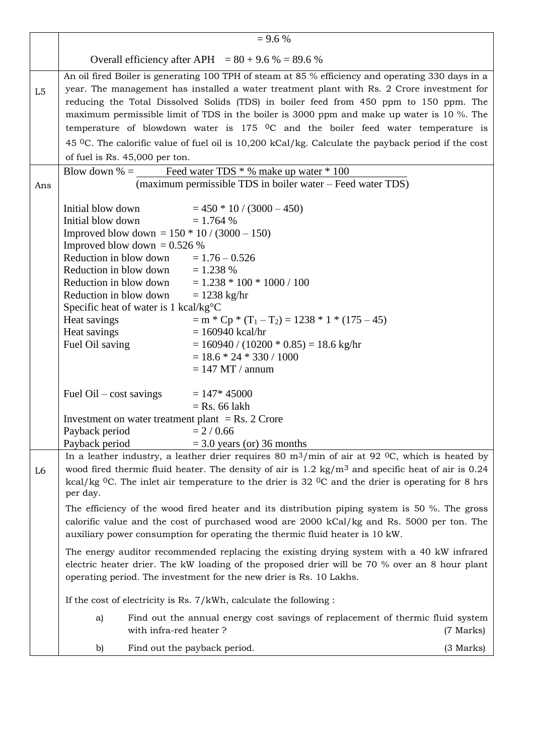|     | $= 9.6 %$                                                                                                                                                                                                                                                                                                                                                                                                                                                                                                                                                                    |                                                                                                                                                                                                                                                                                                                                                                                                                                                                                                                                                                                               |           |
|-----|------------------------------------------------------------------------------------------------------------------------------------------------------------------------------------------------------------------------------------------------------------------------------------------------------------------------------------------------------------------------------------------------------------------------------------------------------------------------------------------------------------------------------------------------------------------------------|-----------------------------------------------------------------------------------------------------------------------------------------------------------------------------------------------------------------------------------------------------------------------------------------------------------------------------------------------------------------------------------------------------------------------------------------------------------------------------------------------------------------------------------------------------------------------------------------------|-----------|
|     |                                                                                                                                                                                                                                                                                                                                                                                                                                                                                                                                                                              | Overall efficiency after APH = $80 + 9.6 %$ = 89.6 %                                                                                                                                                                                                                                                                                                                                                                                                                                                                                                                                          |           |
| L5  | of fuel is Rs. 45,000 per ton.                                                                                                                                                                                                                                                                                                                                                                                                                                                                                                                                               | An oil fired Boiler is generating 100 TPH of steam at 85 % efficiency and operating 330 days in a<br>year. The management has installed a water treatment plant with Rs. 2 Crore investment for<br>reducing the Total Dissolved Solids (TDS) in boiler feed from 450 ppm to 150 ppm. The<br>maximum permissible limit of TDS in the boiler is 3000 ppm and make up water is 10 %. The<br>temperature of blowdown water is $175$ <sup>O</sup> C and the boiler feed water temperature is<br>45 °C. The calorific value of fuel oil is 10,200 kCal/kg. Calculate the payback period if the cost |           |
| Ans |                                                                                                                                                                                                                                                                                                                                                                                                                                                                                                                                                                              | Blow down % = Feed water TDS $*$ % make up water $*$ 100<br>(maximum permissible TDS in boiler water – Feed water TDS)                                                                                                                                                                                                                                                                                                                                                                                                                                                                        |           |
|     | Initial blow down<br>Initial blow down<br>Improved blow down = $150 * 10 / (3000 - 150)$<br>Improved blow down = $0.526\%$<br>Reduction in blow down $= 1.76 - 0.526$<br>Reduction in blow down $= 1.238 \%$<br>Reduction in blow down<br>Reduction in blow down<br>Specific heat of water is 1 kcal/kg°C<br>Heat savings<br>Heat savings<br>Fuel Oil saving                                                                                                                                                                                                                 | $= 450 * 10 / (3000 - 450)$<br>$= 1.764 %$<br>$= 1.238 * 100 * 1000 / 100$<br>$= 1238$ kg/hr<br>$=$ m * Cp * (T <sub>1</sub> - T <sub>2</sub> ) = 1238 * 1 * (175 - 45)<br>$= 160940$ kcal/hr<br>$= 160940 / (10200 * 0.85) = 18.6$ kg/hr<br>$= 18.6 * 24 * 330 / 1000$<br>$= 147$ MT / annum                                                                                                                                                                                                                                                                                                 |           |
|     | Fuel $\text{Oil} - \text{cost}$ savings<br>Investment on water treatment plant = Rs. 2 Crore<br>Payback period<br>Payback period                                                                                                                                                                                                                                                                                                                                                                                                                                             | $= 147*45000$<br>$=$ Rs. 66 lakh<br>$= 2 / 0.66$<br>$=$ 3.0 years (or) 36 months                                                                                                                                                                                                                                                                                                                                                                                                                                                                                                              |           |
| L6  | In a leather industry, a leather drier requires 80 m <sup>3</sup> /min of air at 92 <sup>0</sup> C, which is heated by<br>wood fired thermic fluid heater. The density of air is $1.2 \text{ kg/m}^3$ and specific heat of air is 0.24<br>kcal/kg <sup>0</sup> C. The inlet air temperature to the drier is 32 <sup>0</sup> C and the drier is operating for 8 hrs<br>per day.<br>The efficiency of the wood fired heater and its distribution piping system is 50 %. The gross<br>calorific value and the cost of purchased wood are 2000 kCal/kg and Rs. 5000 per ton. The |                                                                                                                                                                                                                                                                                                                                                                                                                                                                                                                                                                                               |           |
|     | auxiliary power consumption for operating the thermic fluid heater is 10 kW.<br>The energy auditor recommended replacing the existing drying system with a 40 kW infrared<br>electric heater drier. The kW loading of the proposed drier will be 70 % over an 8 hour plant<br>operating period. The investment for the new drier is Rs. 10 Lakhs.                                                                                                                                                                                                                            |                                                                                                                                                                                                                                                                                                                                                                                                                                                                                                                                                                                               |           |
|     |                                                                                                                                                                                                                                                                                                                                                                                                                                                                                                                                                                              | If the cost of electricity is Rs. $7/kWh$ , calculate the following :                                                                                                                                                                                                                                                                                                                                                                                                                                                                                                                         |           |
|     | a)<br>with infra-red heater?                                                                                                                                                                                                                                                                                                                                                                                                                                                                                                                                                 | Find out the annual energy cost savings of replacement of thermic fluid system                                                                                                                                                                                                                                                                                                                                                                                                                                                                                                                | (7 Marks) |
|     | b)                                                                                                                                                                                                                                                                                                                                                                                                                                                                                                                                                                           | Find out the payback period.                                                                                                                                                                                                                                                                                                                                                                                                                                                                                                                                                                  | (3 Marks) |